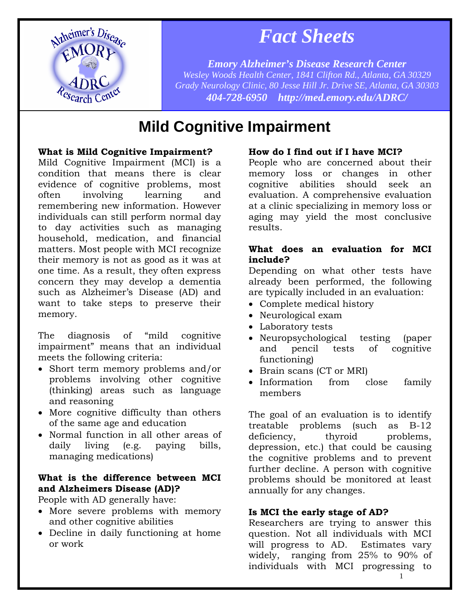

# *Fact Sheets*

*Emory Alzheimer's Disease Research Center Wesley Woods Health Center, 1841 Clifton Rd., Atlanta, GA 30329 Grady Neurology Clinic, 80 Jesse Hill Jr. Drive SE, Atlanta, GA 30303 404-728-6950 http://med.emory.edu/ADRC/*

# **Mild Cognitive Impairment**

# **What is Mild Cognitive Impairment?**

Mild Cognitive Impairment (MCI) is a condition that means there is clear evidence of cognitive problems, most often involving learning and remembering new information. However individuals can still perform normal day to day activities such as managing household, medication, and financial matters. Most people with MCI recognize their memory is not as good as it was at one time. As a result, they often express concern they may develop a dementia such as Alzheimer's Disease (AD) and want to take steps to preserve their memory.

The diagnosis of "mild cognitive impairment" means that an individual meets the following criteria:

- Short term memory problems and/or problems involving other cognitive (thinking) areas such as language and reasoning
- More cognitive difficulty than others of the same age and education
- Normal function in all other areas of daily living (e.g. paying bills, managing medications)

# **What is the difference between MCI and Alzheimers Disease (AD)?**

People with AD generally have:

- More severe problems with memory and other cognitive abilities
- Decline in daily functioning at home or work

# **How do I find out if I have MCI?**

People who are concerned about their memory loss or changes in other cognitive abilities should seek an evaluation. A comprehensive evaluation at a clinic specializing in memory loss or aging may yield the most conclusive results.

# **What does an evaluation for MCI include?**

Depending on what other tests have already been performed, the following are typically included in an evaluation:

- Complete medical history
- Neurological exam
- Laboratory tests
- Neuropsychological testing (paper and pencil tests of cognitive functioning)
- Brain scans (CT or MRI)
- Information from close family members

The goal of an evaluation is to identify treatable problems (such as B-12 deficiency, thyroid problems, depression, etc.) that could be causing the cognitive problems and to prevent further decline. A person with cognitive problems should be monitored at least annually for any changes.

# **Is MCI the early stage of AD?**

Researchers are trying to answer this question. Not all individuals with MCI will progress to AD. Estimates vary widely, ranging from 25% to 90% of individuals with MCI progressing to